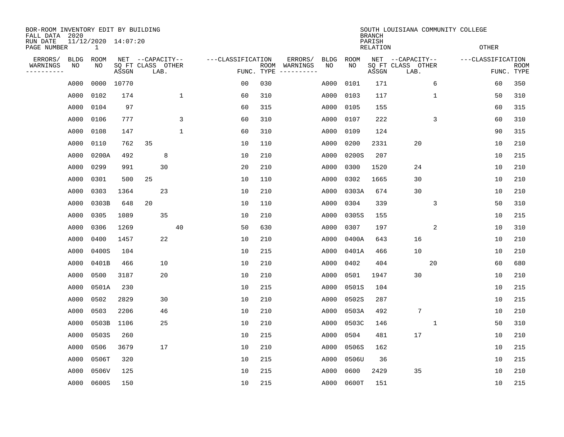| BOR-ROOM INVENTORY EDIT BY BUILDING<br>FALL DATA 2020 |                   |                          |            |                                               |              |                   |                    |                                   |                   |                   | <b>BRANCH</b>      |                                               |    | SOUTH LOUISIANA COMMUNITY COLLEGE |                    |
|-------------------------------------------------------|-------------------|--------------------------|------------|-----------------------------------------------|--------------|-------------------|--------------------|-----------------------------------|-------------------|-------------------|--------------------|-----------------------------------------------|----|-----------------------------------|--------------------|
| RUN DATE<br>PAGE NUMBER                               |                   | 11/12/2020 14:07:20<br>1 |            |                                               |              |                   |                    |                                   |                   |                   | PARISH<br>RELATION |                                               |    | <b>OTHER</b>                      |                    |
| ERRORS/<br>WARNINGS<br>----------                     | <b>BLDG</b><br>ΝO | ROOM<br>ΝO               | ASSGN      | NET --CAPACITY--<br>SQ FT CLASS OTHER<br>LAB. |              | ---CLASSIFICATION | ROOM<br>FUNC. TYPE | ERRORS/<br>WARNINGS<br>---------- | <b>BLDG</b><br>NO | <b>ROOM</b><br>NO | ASSGN              | NET --CAPACITY--<br>SQ FT CLASS OTHER<br>LAB. |    | ---CLASSIFICATION                 | ROOM<br>FUNC. TYPE |
|                                                       | A000              |                          | 0000 10770 |                                               |              | 0 <sub>0</sub>    | 030                |                                   | A000              | 0101              | 171                |                                               | 6  | 60                                | 350                |
|                                                       | A000              | 0102                     | 174        |                                               | $\mathbf 1$  | 60                | 310                |                                   | A000              | 0103              | 117                |                                               | 1  | 50                                | 310                |
|                                                       | A000              | 0104                     | 97         |                                               |              | 60                | 315                |                                   | A000              | 0105              | 155                |                                               |    | 60                                | 315                |
|                                                       | A000              | 0106                     | 777        |                                               | 3            | 60                | 310                |                                   | A000              | 0107              | 222                |                                               | 3  | 60                                | 310                |
|                                                       | A000              | 0108                     | 147        |                                               | $\mathbf{1}$ | 60                | 310                |                                   | A000              | 0109              | 124                |                                               |    | 90                                | 315                |
|                                                       | A000              | 0110                     | 762        | 35                                            |              | 10                | 110                |                                   | A000              | 0200              | 2331               | 20                                            |    | 10                                | 210                |
|                                                       | A000              | 0200A                    | 492        | 8                                             |              | 10                | 210                |                                   | A000              | 0200S             | 207                |                                               |    | 10                                | 215                |
|                                                       | A000              | 0299                     | 991        | 30                                            |              | 20                | 210                |                                   | A000              | 0300              | 1520               | 24                                            |    | 10                                | 210                |
|                                                       | A000              | 0301                     | 500        | 25                                            |              | 10                | 110                |                                   | A000              | 0302              | 1665               | 30                                            |    | 10                                | 210                |
|                                                       | A000              | 0303                     | 1364       | 23                                            |              | 10                | 210                |                                   | A000              | 0303A             | 674                | 30                                            |    | 10                                | 210                |
|                                                       | A000              | 0303B                    | 648        | 20                                            |              | 10                | 110                |                                   | A000              | 0304              | 339                |                                               | 3  | 50                                | 310                |
|                                                       | A000              | 0305                     | 1089       | 35                                            |              | 10                | 210                |                                   | A000              | 0305S             | 155                |                                               |    | 10                                | 215                |
|                                                       | A000              | 0306                     | 1269       |                                               | 40           | 50                | 630                |                                   | A000              | 0307              | 197                |                                               | 2  | 10                                | 310                |
|                                                       | A000              | 0400                     | 1457       | 22                                            |              | 10                | 210                |                                   | A000              | 0400A             | 643                | 16                                            |    | 10                                | 210                |
|                                                       | A000              | 0400S                    | 104        |                                               |              | 10                | 215                |                                   | A000              | 0401A             | 466                | 10                                            |    | 10                                | 210                |
|                                                       | A000              | 0401B                    | 466        | 10                                            |              | 10                | 210                |                                   | A000              | 0402              | 404                |                                               | 20 | 60                                | 680                |
|                                                       | A000              | 0500                     | 3187       | 20                                            |              | 10                | 210                |                                   | A000              | 0501              | 1947               | 30                                            |    | 10                                | 210                |
|                                                       | A000              | 0501A                    | 230        |                                               |              | 10                | 215                |                                   | A000              | 0501S             | 104                |                                               |    | 10                                | 215                |
|                                                       | A000              | 0502                     | 2829       | 30                                            |              | 10                | 210                |                                   | A000              | 0502S             | 287                |                                               |    | 10                                | 215                |
|                                                       | A000              | 0503                     | 2206       | 46                                            |              | 10                | 210                |                                   | A000              | 0503A             | 492                | 7                                             |    | 10                                | 210                |
|                                                       | A000              | 0503B                    | 1106       | 25                                            |              | 10                | 210                |                                   | A000              | 0503C             | 146                |                                               | 1  | 50                                | 310                |
|                                                       | A000              | 0503S                    | 260        |                                               |              | 10                | 215                |                                   | A000              | 0504              | 481                | 17                                            |    | 10                                | 210                |
|                                                       | A000              | 0506                     | 3679       | 17                                            |              | 10                | 210                |                                   | A000              | 0506S             | 162                |                                               |    | 10                                | 215                |
|                                                       | A000              | 0506T                    | 320        |                                               |              | 10                | 215                |                                   | A000              | 0506U             | 36                 |                                               |    | 10                                | 215                |
|                                                       | A000              | 0506V                    | 125        |                                               |              | 10                | 215                |                                   | A000              | 0600              | 2429               | 35                                            |    | 10                                | 210                |
|                                                       | A000              | 0600S                    | 150        |                                               |              | 10                | 215                |                                   | A000              | 0600T             | 151                |                                               |    | 10                                | 215                |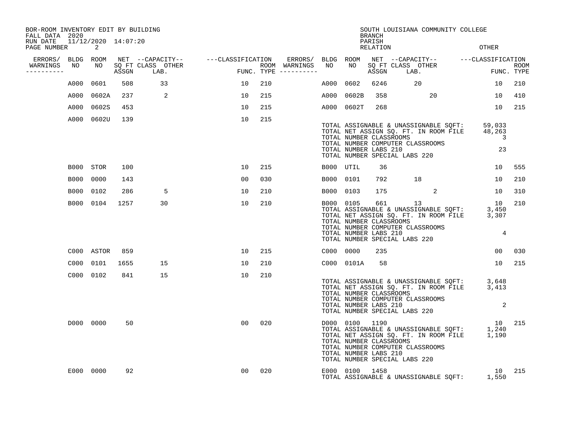| BOR-ROOM INVENTORY EDIT BY BUILDING<br>FALL DATA 2020 |      |                                                 |      |                                 |                                                       |     |                                      |           |                                                                                                     | <b>BRANCH</b>      |          | SOUTH LOUISIANA COMMUNITY COLLEGE      |                                                                                                                                                                                                                                  |                           |
|-------------------------------------------------------|------|-------------------------------------------------|------|---------------------------------|-------------------------------------------------------|-----|--------------------------------------|-----------|-----------------------------------------------------------------------------------------------------|--------------------|----------|----------------------------------------|----------------------------------------------------------------------------------------------------------------------------------------------------------------------------------------------------------------------------------|---------------------------|
| RUN DATE<br>PAGE NUMBER                               |      | 11/12/2020 14:07:20<br>$\overline{\phantom{a}}$ |      |                                 |                                                       |     |                                      |           |                                                                                                     | PARISH<br>RELATION |          |                                        | OTHER                                                                                                                                                                                                                            |                           |
| ERRORS/ BLDG ROOM                                     |      |                                                 |      |                                 | NET --CAPACITY-- ----CLASSIFICATION ERRORS/ BLDG ROOM |     |                                      |           |                                                                                                     |                    |          |                                        | NET --CAPACITY-- ---CLASSIFICATION                                                                                                                                                                                               |                           |
| WARNINGS<br>----------                                | NO   | NO NO                                           |      | SQ FT CLASS OTHER<br>ASSGN LAB. | unasSIFI<br>ب                                         |     | ROOM WARNINGS<br>FUNC. TYPE $------$ | NO        | NO NO                                                                                               |                    |          | SQ FT CLASS OTHER<br>ASSGN LAB.        | en de la provincia de la provincia de la provincia de la provincia de la provincia de la provincia de la provi<br>En 1870, en 1870, en 1870, en 1870, en 1870, en 1870, en 1870, en 1870, en 1870, en 1870, en 1870, en 1870, en | <b>ROOM</b><br>FUNC. TYPE |
|                                                       | A000 | 0601                                            | 508  | 33                              | 10                                                    | 210 |                                      | A000 0602 |                                                                                                     | 6246               | 20       |                                        | 10                                                                                                                                                                                                                               | 210                       |
|                                                       |      | A000 0602A                                      |      | 237 2                           | 10                                                    | 215 |                                      |           | A000 0602B                                                                                          | 358                |          | 20                                     | 10                                                                                                                                                                                                                               | 410                       |
|                                                       | A000 | 0602S                                           | 453  |                                 | 10                                                    | 215 |                                      |           | A000 0602T                                                                                          | 268                |          |                                        | 10                                                                                                                                                                                                                               | 215                       |
|                                                       |      | A000 0602U                                      | 139  |                                 | 10                                                    | 215 |                                      |           | TOTAL NUMBER CLASSROOMS<br>TOTAL NUMBER LABS 210<br>TOTAL NUMBER SPECIAL LABS 220                   |                    |          | TOTAL NUMBER COMPUTER CLASSROOMS       | TOTAL ASSIGNABLE & UNASSIGNABLE SQFT: 59,033<br>TOTAL NET ASSIGN SQ. FT. IN ROOM FILE 48,263<br>$\overline{3}$<br>23                                                                                                             |                           |
|                                                       |      | B000 STOR                                       | 100  |                                 | 10                                                    | 215 |                                      | B000 UTIL |                                                                                                     | 36                 |          |                                        | 10                                                                                                                                                                                                                               | 555                       |
|                                                       | B000 | 0000                                            | 143  |                                 | 00                                                    | 030 |                                      | B000 0101 |                                                                                                     | 792                | 18       |                                        | 10                                                                                                                                                                                                                               | 210                       |
|                                                       | B000 | 0102                                            | 286  | 5                               | 10                                                    | 210 |                                      | B000 0103 |                                                                                                     |                    | 175      | 2                                      | 10                                                                                                                                                                                                                               | 310                       |
|                                                       |      | B000 0104                                       | 1257 | 30                              | 10                                                    | 210 |                                      | B000 0105 | TOTAL NUMBER CLASSROOMS<br>TOTAL NUMBER LABS 210<br>TOTAL NUMBER SPECIAL LABS 220                   |                    | 661 — 10 | 13<br>TOTAL NUMBER COMPUTER CLASSROOMS | 10<br>BOOO OIOS 661 13<br>TOTAL ASSIGNABLE & UNASSIGNABLE SQFT: 3,450<br>TOTAL NET ASSIGN SQ. FT. IN ROOM FILE 3,307<br>$\overline{4}$                                                                                           | 210                       |
|                                                       |      | C000 ASTOR                                      | 859  |                                 | 10                                                    | 215 |                                      | C000 0000 |                                                                                                     | 235                |          |                                        | 00                                                                                                                                                                                                                               | 030                       |
|                                                       |      | C000 0101                                       | 1655 | 15                              | 10                                                    | 210 |                                      |           | C000 0101A                                                                                          | 58                 |          |                                        | 10                                                                                                                                                                                                                               | 215                       |
|                                                       |      | C000 0102                                       | 841  | 15                              | 10                                                    | 210 |                                      |           | TOTAL NUMBER CLASSROOMS<br>TOTAL NUMBER LABS 210<br>TOTAL NUMBER SPECIAL LABS 220                   |                    |          | TOTAL NUMBER COMPUTER CLASSROOMS       | TOTAL ASSIGNABLE & UNASSIGNABLE SQFT: 3,648<br>TOTAL NET ASSIGN SQ. FT. IN ROOM FILE 3,413<br>2                                                                                                                                  |                           |
|                                                       |      | D000 0000                                       | 50   |                                 | 00                                                    | 020 |                                      |           | D000 0100 1190<br>TOTAL NUMBER CLASSROOMS<br>TOTAL NUMBER LABS 210<br>TOTAL NUMBER SPECIAL LABS 220 |                    |          | TOTAL NUMBER COMPUTER CLASSROOMS       | 10<br>D000 0100 1190<br>TOTAL ASSIGNABLE & UNASSIGNABLE SQFT: 1,240<br>TOTAL NET ASSIGN SQ. FT. IN ROOM FILE 1,190                                                                                                               | 215                       |
|                                                       |      | E000 0000                                       | 92   |                                 | 00                                                    | 020 |                                      |           | E000 0100 1458                                                                                      |                    |          |                                        | 10<br>TOTAL ASSIGNABLE & UNASSIGNABLE SQFT: 1,550                                                                                                                                                                                | 215                       |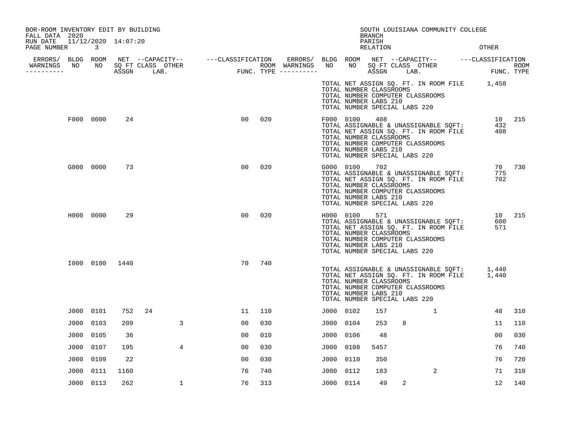| PAGE NUMBER | $\overline{3}$       |                                                                                            |                |                                                                                                           |     |                                               |               |                                      |                                                                                                         |                         |                                                                               |                                                                                                                                                                                                                                                                  |                                                                                                                                                                                 | OTHER                                                                                                                                                                                                 |                                                                                                                                                                                                                                                                                                                                                                                                                                                                                                                                                |
|-------------|----------------------|--------------------------------------------------------------------------------------------|----------------|-----------------------------------------------------------------------------------------------------------|-----|-----------------------------------------------|---------------|--------------------------------------|---------------------------------------------------------------------------------------------------------|-------------------------|-------------------------------------------------------------------------------|------------------------------------------------------------------------------------------------------------------------------------------------------------------------------------------------------------------------------------------------------------------|---------------------------------------------------------------------------------------------------------------------------------------------------------------------------------|-------------------------------------------------------------------------------------------------------------------------------------------------------------------------------------------------------|------------------------------------------------------------------------------------------------------------------------------------------------------------------------------------------------------------------------------------------------------------------------------------------------------------------------------------------------------------------------------------------------------------------------------------------------------------------------------------------------------------------------------------------------|
|             |                      |                                                                                            |                |                                                                                                           |     |                                               |               |                                      |                                                                                                         |                         |                                                                               |                                                                                                                                                                                                                                                                  |                                                                                                                                                                                 |                                                                                                                                                                                                       |                                                                                                                                                                                                                                                                                                                                                                                                                                                                                                                                                |
|             |                      |                                                                                            |                |                                                                                                           |     |                                               |               |                                      |                                                                                                         |                         |                                                                               |                                                                                                                                                                                                                                                                  |                                                                                                                                                                                 |                                                                                                                                                                                                       | ROOM                                                                                                                                                                                                                                                                                                                                                                                                                                                                                                                                           |
|             |                      |                                                                                            |                |                                                                                                           |     |                                               |               |                                      |                                                                                                         |                         |                                                                               |                                                                                                                                                                                                                                                                  |                                                                                                                                                                                 |                                                                                                                                                                                                       |                                                                                                                                                                                                                                                                                                                                                                                                                                                                                                                                                |
|             |                      | 24                                                                                         |                | 0 <sub>0</sub>                                                                                            | 020 |                                               |               |                                      |                                                                                                         |                         |                                                                               |                                                                                                                                                                                                                                                                  |                                                                                                                                                                                 |                                                                                                                                                                                                       | 10 215                                                                                                                                                                                                                                                                                                                                                                                                                                                                                                                                         |
|             |                      | 73                                                                                         |                | 0 <sub>0</sub>                                                                                            | 020 |                                               |               |                                      |                                                                                                         |                         |                                                                               |                                                                                                                                                                                                                                                                  |                                                                                                                                                                                 |                                                                                                                                                                                                       | 70 730                                                                                                                                                                                                                                                                                                                                                                                                                                                                                                                                         |
|             |                      | 29                                                                                         |                | 0 <sub>0</sub>                                                                                            | 020 |                                               |               |                                      |                                                                                                         |                         |                                                                               |                                                                                                                                                                                                                                                                  |                                                                                                                                                                                 |                                                                                                                                                                                                       | 215                                                                                                                                                                                                                                                                                                                                                                                                                                                                                                                                            |
|             |                      | 1440                                                                                       |                | 70                                                                                                        | 740 |                                               |               |                                      |                                                                                                         |                         |                                                                               |                                                                                                                                                                                                                                                                  |                                                                                                                                                                                 |                                                                                                                                                                                                       |                                                                                                                                                                                                                                                                                                                                                                                                                                                                                                                                                |
|             |                      | 752                                                                                        | 24             | 11                                                                                                        | 110 |                                               |               |                                      |                                                                                                         |                         |                                                                               | 1                                                                                                                                                                                                                                                                |                                                                                                                                                                                 | 48                                                                                                                                                                                                    | 310                                                                                                                                                                                                                                                                                                                                                                                                                                                                                                                                            |
| J000        | 0103                 | 209                                                                                        | 3              | 00                                                                                                        | 030 |                                               | J000          | 0104                                 |                                                                                                         |                         | 8                                                                             |                                                                                                                                                                                                                                                                  |                                                                                                                                                                                 | 11                                                                                                                                                                                                    | 110                                                                                                                                                                                                                                                                                                                                                                                                                                                                                                                                            |
| J000        | 0105                 | 36                                                                                         |                | 0 <sub>0</sub>                                                                                            | 010 |                                               | J000          | 0106                                 |                                                                                                         |                         |                                                                               |                                                                                                                                                                                                                                                                  |                                                                                                                                                                                 | 00                                                                                                                                                                                                    | 030                                                                                                                                                                                                                                                                                                                                                                                                                                                                                                                                            |
| J000        | 0107                 | 195                                                                                        | $\overline{4}$ | 00                                                                                                        | 030 |                                               | J000          | 0108                                 |                                                                                                         |                         |                                                                               |                                                                                                                                                                                                                                                                  |                                                                                                                                                                                 | 76                                                                                                                                                                                                    | 740                                                                                                                                                                                                                                                                                                                                                                                                                                                                                                                                            |
|             | 0109                 | 22                                                                                         |                | 0 <sub>0</sub>                                                                                            | 030 |                                               |               | 0110                                 |                                                                                                         |                         |                                                                               |                                                                                                                                                                                                                                                                  |                                                                                                                                                                                 | 76                                                                                                                                                                                                    | 720                                                                                                                                                                                                                                                                                                                                                                                                                                                                                                                                            |
| J000        | 0111                 | 1160                                                                                       |                | 76                                                                                                        | 740 |                                               |               |                                      |                                                                                                         |                         |                                                                               | 2                                                                                                                                                                                                                                                                |                                                                                                                                                                                 | 71                                                                                                                                                                                                    | 310                                                                                                                                                                                                                                                                                                                                                                                                                                                                                                                                            |
|             |                      | 262                                                                                        | $\mathbf 1$    | 76                                                                                                        | 313 |                                               |               |                                      |                                                                                                         |                         | 2                                                                             |                                                                                                                                                                                                                                                                  |                                                                                                                                                                                 | 12                                                                                                                                                                                                    | 140                                                                                                                                                                                                                                                                                                                                                                                                                                                                                                                                            |
|             | FALL DATA 2020<br>NO | ERRORS/ BLDG ROOM<br>F000 0000<br>G000 0000<br>H000 0000<br>J000 0101<br>J000<br>J000 0113 | I000 0100      | BOR-ROOM INVENTORY EDIT BY BUILDING<br>RUN DATE 11/12/2020 14:07:20<br>NO SQ FT CLASS OTHER<br>ASSGN LAB. |     | NET --CAPACITY-- - ---CLASSIFICATION<br>FUNC. | ROOM WARNINGS | ERRORS/<br>NO<br>FUNC. TYPE $------$ | BLDG ROOM<br>NO .<br>F000 0100<br>G000 0100<br>H000 0100<br>J000 0102<br>J000<br>J000 0112<br>J000 0114 | <b>BRANCH</b><br>PARISH | RELATION<br>408<br>702<br>571<br>157<br>253<br>48<br>5457<br>350<br>183<br>49 | TOTAL NUMBER CLASSROOMS<br>TOTAL NUMBER LABS 210<br>TOTAL NUMBER CLASSROOMS<br>TOTAL NUMBER LABS 210<br>TOTAL NUMBER CLASSROOMS<br>TOTAL NUMBER LABS 210<br>TOTAL NUMBER CLASSROOMS<br>TOTAL NUMBER LABS 210<br>TOTAL NUMBER CLASSROOMS<br>TOTAL NUMBER LABS 210 | ASSGN LAB.<br>TOTAL NUMBER SPECIAL LABS 220<br>TOTAL NUMBER SPECIAL LABS 220<br>TOTAL NUMBER SPECIAL LABS 220<br>TOTAL NUMBER SPECIAL LABS 220<br>TOTAL NUMBER SPECIAL LABS 220 | SQ FT CLASS OTHER<br>TOTAL NUMBER COMPUTER CLASSROOMS<br>TOTAL NUMBER COMPUTER CLASSROOMS<br>TOTAL NUMBER COMPUTER CLASSROOMS<br>TOTAL NUMBER COMPUTER CLASSROOMS<br>TOTAL NUMBER COMPUTER CLASSROOMS | SOUTH LOUISIANA COMMUNITY COLLEGE<br>NET --CAPACITY-- ---CLASSIFICATION<br>FUNC. TYPE<br>TOTAL NET ASSIGN SQ. FT. IN ROOM FILE 1,458<br>TOTAL ASSIGNABLE & UNASSIGNABLE SQFT:<br>432<br>TOTAL NET ASSIGN SQ. FT. IN ROOM FILE<br>408<br>TOTAL ASSIGNABLE & UNASSIGNABLE SQFT:<br>775<br>TOTAL NET ASSIGN SQ. FT. IN ROOM FILE<br>702<br>10<br>TOTAL ASSIGNABLE & UNASSIGNABLE SOFT:<br>600<br>TOTAL NET ASSIGN SQ. FT. IN ROOM FILE<br>571<br>TOTAL ASSIGNABLE & UNASSIGNABLE SQFT:<br>1,440<br>TOTAL NET ASSIGN SQ. FT. IN ROOM FILE<br>1,440 |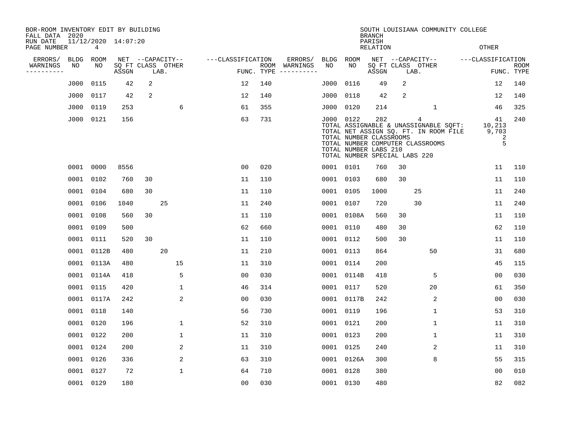| BOR-ROOM INVENTORY EDIT BY BUILDING<br>FALL DATA 2020 |             |                                       |       |    |                           |                   |     |                                      |           |            | <b>BRANCH</b>                                                                            |    | SOUTH LOUISIANA COMMUNITY COLLEGE                                                                                       |                                              |                           |
|-------------------------------------------------------|-------------|---------------------------------------|-------|----|---------------------------|-------------------|-----|--------------------------------------|-----------|------------|------------------------------------------------------------------------------------------|----|-------------------------------------------------------------------------------------------------------------------------|----------------------------------------------|---------------------------|
| RUN DATE<br>PAGE NUMBER                               |             | 11/12/2020 14:07:20<br>$\overline{4}$ |       |    |                           |                   |     |                                      |           |            | PARISH<br><b>RELATION</b>                                                                |    |                                                                                                                         | <b>OTHER</b>                                 |                           |
| ERRORS/                                               | <b>BLDG</b> | ROOM                                  |       |    | NET --CAPACITY--          | ---CLASSIFICATION |     | ERRORS/                              | BLDG      | ROOM       |                                                                                          |    | NET --CAPACITY--                                                                                                        | ---CLASSIFICATION                            |                           |
| WARNINGS<br>----------                                | NO          | NO                                    | ASSGN |    | SQ FT CLASS OTHER<br>LAB. |                   |     | ROOM WARNINGS<br>FUNC. TYPE $------$ | NO        | NO         | ASSGN                                                                                    |    | SQ FT CLASS OTHER<br>LAB.                                                                                               |                                              | <b>ROOM</b><br>FUNC. TYPE |
|                                                       | J000        | 0115                                  | 42    | 2  |                           | 12                | 140 |                                      | J000      | 0116       | 49                                                                                       | 2  |                                                                                                                         | 12                                           | 140                       |
|                                                       | J000        | 0117                                  | 42    | 2  |                           | 12                | 140 |                                      | J000      | 0118       | 42                                                                                       | 2  |                                                                                                                         | 12                                           | 140                       |
|                                                       | J000        | 0119                                  | 253   |    | 6                         | 61                | 355 |                                      | J000 0120 |            | 214                                                                                      |    | 1                                                                                                                       | 46                                           | 325                       |
|                                                       | J000        | 0121                                  | 156   |    |                           | 63                | 731 |                                      | J000 0122 |            | 282<br>TOTAL NUMBER CLASSROOMS<br>TOTAL NUMBER LABS 210<br>TOTAL NUMBER SPECIAL LABS 220 |    | 4<br>TOTAL ASSIGNABLE & UNASSIGNABLE SQFT:<br>TOTAL NET ASSIGN SQ. FT. IN ROOM FILE<br>TOTAL NUMBER COMPUTER CLASSROOMS | 41<br>10,213<br>9,703<br>$\overline{2}$<br>5 | 240                       |
|                                                       |             | 0001 0000                             | 8556  |    |                           | 0 <sub>0</sub>    | 020 |                                      | 0001 0101 |            | 760                                                                                      | 30 |                                                                                                                         | 11                                           | 110                       |
|                                                       | 0001        | 0102                                  | 760   | 30 |                           | 11                | 110 |                                      | 0001 0103 |            | 680                                                                                      | 30 |                                                                                                                         | 11                                           | 110                       |
|                                                       |             | 0001 0104                             | 680   | 30 |                           | 11                | 110 |                                      |           | 0001 0105  | 1000                                                                                     |    | 25                                                                                                                      | 11                                           | 240                       |
|                                                       | 0001        | 0106                                  | 1040  |    | 25                        | 11                | 240 |                                      | 0001 0107 |            | 720                                                                                      |    | 30                                                                                                                      | 11                                           | 240                       |
|                                                       | 0001 0108   |                                       | 560   | 30 |                           | 11                | 110 |                                      |           | 0001 0108A | 560                                                                                      | 30 |                                                                                                                         | 11                                           | 110                       |
|                                                       | 0001        | 0109                                  | 500   |    |                           | 62                | 660 |                                      |           | 0001 0110  | 480                                                                                      | 30 |                                                                                                                         | 62                                           | 110                       |
|                                                       | 0001        | 0111                                  | 520   | 30 |                           | 11                | 110 |                                      |           | 0001 0112  | 500                                                                                      | 30 |                                                                                                                         | 11                                           | 110                       |
|                                                       | 0001        | 0112B                                 | 480   |    | 20                        | 11                | 210 |                                      | 0001 0113 |            | 864                                                                                      |    | 50                                                                                                                      | 31                                           | 680                       |
|                                                       | 0001        | 0113A                                 | 480   |    | 15                        | 11                | 310 |                                      | 0001 0114 |            | 200                                                                                      |    |                                                                                                                         | 45                                           | 115                       |
|                                                       | 0001        | 0114A                                 | 418   |    | 5                         | 0 <sub>0</sub>    | 030 |                                      |           | 0001 0114B | 418                                                                                      |    | 5                                                                                                                       | 0 <sub>0</sub>                               | 030                       |
|                                                       | 0001        | 0115                                  | 420   |    | $\mathbf 1$               | 46                | 314 |                                      | 0001 0117 |            | 520                                                                                      |    | 20                                                                                                                      | 61                                           | 350                       |
|                                                       |             | 0001 0117A                            | 242   |    | 2                         | 00                | 030 |                                      |           | 0001 0117B | 242                                                                                      |    | 2                                                                                                                       | 00                                           | 030                       |
|                                                       |             | 0001 0118                             | 140   |    |                           | 56                | 730 |                                      | 0001 0119 |            | 196                                                                                      |    | $\mathbf 1$                                                                                                             | 53                                           | 310                       |
|                                                       |             | 0001 0120                             | 196   |    | $\mathbf 1$               | 52                | 310 |                                      |           | 0001 0121  | 200                                                                                      |    | $\mathbf 1$                                                                                                             | 11                                           | 310                       |
|                                                       |             | 0001 0122                             | 200   |    | $\mathbf{1}$              | 11                | 310 |                                      | 0001 0123 |            | 200                                                                                      |    | 1                                                                                                                       | 11                                           | 310                       |
|                                                       | 0001 0124   |                                       | 200   |    | 2                         | 11                | 310 |                                      |           | 0001 0125  | 240                                                                                      |    | 2                                                                                                                       | 11                                           | 310                       |
|                                                       |             | 0001 0126                             | 336   |    | 2                         | 63                | 310 |                                      |           | 0001 0126A | 300                                                                                      |    | 8                                                                                                                       | 55                                           | 315                       |
|                                                       | 0001 0127   |                                       | 72    |    | $\mathbf{1}$              | 64                | 710 |                                      |           | 0001 0128  | 380                                                                                      |    |                                                                                                                         | 0 <sub>0</sub>                               | 010                       |
|                                                       |             | 0001 0129                             | 180   |    |                           | 00                | 030 |                                      | 0001 0130 |            | 480                                                                                      |    |                                                                                                                         | 82                                           | 082                       |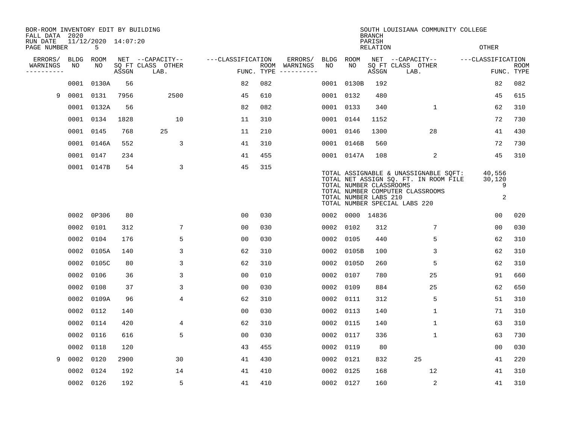| BOR-ROOM INVENTORY EDIT BY BUILDING<br>FALL DATA 2020 |             |                          |       |                           |                   |     |                                      |           |                 | <b>BRANCH</b>                                    | SOUTH LOUISIANA COMMUNITY COLLEGE                                                                                                                   |                            |                           |
|-------------------------------------------------------|-------------|--------------------------|-------|---------------------------|-------------------|-----|--------------------------------------|-----------|-----------------|--------------------------------------------------|-----------------------------------------------------------------------------------------------------------------------------------------------------|----------------------------|---------------------------|
| RUN DATE<br>PAGE NUMBER                               |             | 11/12/2020 14:07:20<br>5 |       |                           |                   |     |                                      |           |                 | PARISH<br>RELATION                               |                                                                                                                                                     | <b>OTHER</b>               |                           |
| ERRORS/                                               | <b>BLDG</b> | ROOM                     |       | NET --CAPACITY--          | ---CLASSIFICATION |     | ERRORS/                              | BLDG ROOM |                 |                                                  | NET --CAPACITY--                                                                                                                                    | ---CLASSIFICATION          |                           |
| WARNINGS<br>----------                                | NO          | NO                       | ASSGN | SQ FT CLASS OTHER<br>LAB. |                   |     | ROOM WARNINGS<br>FUNC. TYPE $------$ | NO        | NO.             | ASSGN                                            | SQ FT CLASS OTHER<br>LAB.                                                                                                                           |                            | <b>ROOM</b><br>FUNC. TYPE |
|                                                       | 0001        | 0130A                    | 56    |                           | 82                | 082 |                                      | 0001      | 0130B           | 192                                              |                                                                                                                                                     | 82                         | 082                       |
| 9                                                     | 0001        | 0131                     | 7956  | 2500                      | 45                | 610 |                                      | 0001 0132 |                 | 480                                              |                                                                                                                                                     | 45                         | 615                       |
|                                                       |             | 0001 0132A               | 56    |                           | 82                | 082 |                                      | 0001 0133 |                 | 340                                              | 1                                                                                                                                                   | 62                         | 310                       |
|                                                       |             | 0001 0134                | 1828  | 10                        | 11                | 310 |                                      | 0001 0144 |                 | 1152                                             |                                                                                                                                                     | 72                         | 730                       |
|                                                       |             | 0001 0145                | 768   | 25                        | 11                | 210 |                                      | 0001 0146 |                 | 1300                                             | 28                                                                                                                                                  | 41                         | 430                       |
|                                                       |             | 0001 0146A               | 552   | 3                         | 41                | 310 |                                      |           | 0001 0146B      | 560                                              |                                                                                                                                                     | 72                         | 730                       |
|                                                       |             | 0001 0147                | 234   |                           | 41                | 455 |                                      |           | 0001 0147A      | 108                                              | 2                                                                                                                                                   | 45                         | 310                       |
|                                                       |             | 0001 0147B               | 54    | 3                         | 45                | 315 |                                      |           |                 | TOTAL NUMBER CLASSROOMS<br>TOTAL NUMBER LABS 210 | TOTAL ASSIGNABLE & UNASSIGNABLE SQFT:<br>TOTAL NET ASSIGN SQ. FT. IN ROOM FILE<br>TOTAL NUMBER COMPUTER CLASSROOMS<br>TOTAL NUMBER SPECIAL LABS 220 | 40,556<br>30,120<br>9<br>2 |                           |
|                                                       | 0002        | 0P306                    | 80    |                           | 0 <sub>0</sub>    | 030 |                                      |           | 0002 0000 14836 |                                                  |                                                                                                                                                     | 0 <sub>0</sub>             | 020                       |
|                                                       | 0002        | 0101                     | 312   | 7                         | 0 <sub>0</sub>    | 030 |                                      | 0002 0102 |                 | 312                                              | 7                                                                                                                                                   | 0 <sub>0</sub>             | 030                       |
|                                                       | 0002        | 0104                     | 176   | 5                         | 0 <sub>0</sub>    | 030 |                                      | 0002 0105 |                 | 440                                              | 5                                                                                                                                                   | 62                         | 310                       |
|                                                       | 0002        | 0105A                    | 140   | 3                         | 62                | 310 |                                      |           | 0002 0105B      | 100                                              | 3                                                                                                                                                   | 62                         | 310                       |
|                                                       | 0002        | 0105C                    | 80    | 3                         | 62                | 310 |                                      |           | 0002 0105D      | 260                                              | 5                                                                                                                                                   | 62                         | 310                       |
|                                                       | 0002        | 0106                     | 36    | 3                         | 0 <sub>0</sub>    | 010 |                                      | 0002 0107 |                 | 780                                              | 25                                                                                                                                                  | 91                         | 660                       |
|                                                       | 0002        | 0108                     | 37    | 3                         | 00                | 030 |                                      | 0002 0109 |                 | 884                                              | 25                                                                                                                                                  | 62                         | 650                       |
|                                                       |             | 0002 0109A               | 96    | 4                         | 62                | 310 |                                      | 0002 0111 |                 | 312                                              | 5                                                                                                                                                   | 51                         | 310                       |
|                                                       |             | 0002 0112                | 140   |                           | 0 <sub>0</sub>    | 030 |                                      | 0002 0113 |                 | 140                                              | $\mathbf 1$                                                                                                                                         | 71                         | 310                       |
|                                                       | 0002        | 0114                     | 420   | 4                         | 62                | 310 |                                      | 0002 0115 |                 | 140                                              | $\mathbf 1$                                                                                                                                         | 63                         | 310                       |
|                                                       | 0002        | 0116                     | 616   | 5                         | 0 <sub>0</sub>    | 030 |                                      | 0002 0117 |                 | 336                                              | $\mathbf{1}$                                                                                                                                        | 63                         | 730                       |
|                                                       | 0002 0118   |                          | 120   |                           | 43                | 455 |                                      | 0002 0119 |                 | 80                                               |                                                                                                                                                     | 00                         | 030                       |
| 9                                                     | 0002 0120   |                          | 2900  | 30                        | 41                | 430 |                                      | 0002 0121 |                 | 832                                              | 25                                                                                                                                                  | 41                         | 220                       |
|                                                       | 0002        | 0124                     | 192   | 14                        | 41                | 410 |                                      | 0002 0125 |                 | 168                                              | 12                                                                                                                                                  | 41                         | 310                       |
|                                                       |             | 0002 0126                | 192   | 5                         | 41                | 410 |                                      | 0002 0127 |                 | 160                                              | 2                                                                                                                                                   | 41                         | 310                       |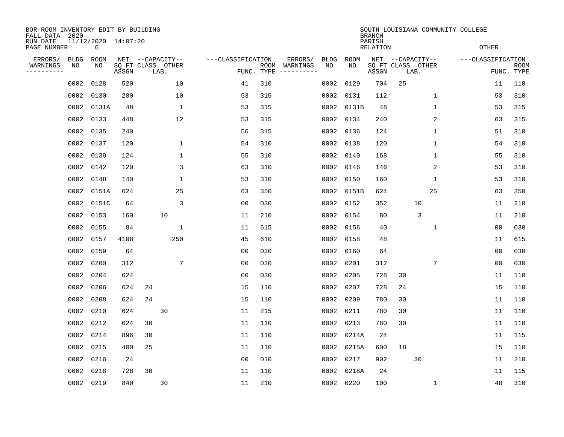| 11/12/2020 14:07:20<br>PARISH<br>OTHER<br>PAGE NUMBER<br>6<br>RELATION<br>---CLASSIFICATION<br>ERRORS/<br><b>ROOM</b><br>NET --CAPACITY--<br>ERRORS/<br><b>BLDG</b><br>ROOM<br>NET --CAPACITY--<br>---CLASSIFICATION<br><b>BLDG</b><br>NO<br>NO<br>SQ FT CLASS OTHER<br>NO<br>NO.<br>SQ FT CLASS OTHER<br>WARNINGS<br>ROOM WARNINGS<br>ASSGN<br>FUNC. TYPE<br>ASSGN<br>FUNC. TYPE<br>LAB.<br>LAB.<br>----------<br>$-- - - - - - - - -$<br>25<br>0002<br>0128<br>520<br>10<br>41<br>310<br>0002<br>0129<br>704<br>11<br>280<br>10<br>315<br>53<br>0002<br>0130<br>53<br>0002<br>0131<br>112<br>$\mathbf 1$<br>$\mathbf{1}$<br>315<br>$\mathbf{1}$<br>53<br>0002<br>0131A<br>48<br>53<br>0002<br>0131B<br>48<br>12<br>2<br>0002 0133<br>448<br>53<br>315<br>0002<br>0134<br>240<br>63<br>0135<br>56<br>315<br>51<br>0002<br>240<br>0002<br>0136<br>124<br>1<br>54<br>310<br>0002 0137<br>120<br>1<br>0002<br>0138<br>120<br>1<br>54<br>124<br>$\mathbf{1}$<br>55<br>310<br>55<br>0002<br>0139<br>0002<br>0140<br>168<br>1<br>0002 0142<br>120<br>3<br>310<br>0146<br>2<br>53<br>63<br>0002<br>146<br>53<br>0002<br>0148<br>140<br>1<br>310<br>0002<br>0150<br>160<br>1<br>53<br>0151A<br>25<br>350<br>25<br>0002<br>624<br>63<br>0002<br>0151B<br>624<br>63<br>0151C<br>3<br>10<br>0002<br>64<br>00<br>030<br>0002<br>0152<br>352<br>11<br>0002<br>0153<br>10<br>210<br>0002<br>0154<br>80<br>3<br>160<br>11<br>11<br>0002<br>0155<br>1<br>615<br>0002<br>0156<br>40<br>0 <sub>0</sub><br>84<br>11<br>1<br>0002<br>0157<br>4108<br>250<br>45<br>610<br>0002<br>0158<br>48<br>11<br>0002<br>0159<br>64<br>0 <sub>0</sub><br>030<br>0002<br>64<br>0 <sub>0</sub><br>0160<br>7<br>7<br>0002<br>0200<br>312<br>0 <sub>0</sub><br>030<br>0002<br>0201<br>312<br>0 <sub>0</sub><br>0204<br>030<br>0002<br>0205<br>30<br>0002<br>624<br>0 <sub>0</sub><br>728<br>11<br>24<br>0002<br>0206<br>624<br>24<br>15<br>110<br>0002<br>0207<br>728<br>15<br>0002<br>0208<br>624<br>24<br>15<br>110<br>0002<br>0209<br>780<br>30<br>11<br>30<br>215<br>0002<br>0210<br>624<br>11<br>0002<br>0211<br>780<br>30<br>11<br>0212<br>30<br>110<br>0213<br>780<br>30<br>0002<br>624<br>11<br>0002<br>11<br>0214<br>110<br>0002<br>896<br>30<br>11<br>0002<br>0214A<br>24<br>11<br>0215<br>25<br>110<br>18<br>15<br>0002<br>400<br>11<br>0002<br>0215A<br>600<br>30<br>0002<br>0216<br>24<br>0 <sub>0</sub><br>010<br>0002<br>0217<br>902<br>11<br>0002<br>0218<br>728<br>30<br>11<br>110<br>0002<br>0218A<br>24<br>11<br>0002 0219<br>840<br>30<br>11<br>210<br>0002 0220<br>48<br>100<br>1 | BOR-ROOM INVENTORY EDIT BY BUILDING<br>FALL DATA 2020 |  |  |  |  |  | <b>BRANCH</b> |  | SOUTH LOUISIANA COMMUNITY COLLEGE |      |
|---------------------------------------------------------------------------------------------------------------------------------------------------------------------------------------------------------------------------------------------------------------------------------------------------------------------------------------------------------------------------------------------------------------------------------------------------------------------------------------------------------------------------------------------------------------------------------------------------------------------------------------------------------------------------------------------------------------------------------------------------------------------------------------------------------------------------------------------------------------------------------------------------------------------------------------------------------------------------------------------------------------------------------------------------------------------------------------------------------------------------------------------------------------------------------------------------------------------------------------------------------------------------------------------------------------------------------------------------------------------------------------------------------------------------------------------------------------------------------------------------------------------------------------------------------------------------------------------------------------------------------------------------------------------------------------------------------------------------------------------------------------------------------------------------------------------------------------------------------------------------------------------------------------------------------------------------------------------------------------------------------------------------------------------------------------------------------------------------------------------------------------------------------------------------------------------------------------------------------------------------------------------------------------------------------------------------------------------------------------------------------------------------------------------------------------------------------------------------------------------------------------------------------------------------------------------|-------------------------------------------------------|--|--|--|--|--|---------------|--|-----------------------------------|------|
|                                                                                                                                                                                                                                                                                                                                                                                                                                                                                                                                                                                                                                                                                                                                                                                                                                                                                                                                                                                                                                                                                                                                                                                                                                                                                                                                                                                                                                                                                                                                                                                                                                                                                                                                                                                                                                                                                                                                                                                                                                                                                                                                                                                                                                                                                                                                                                                                                                                                                                                                                                     | RUN DATE                                              |  |  |  |  |  |               |  |                                   |      |
|                                                                                                                                                                                                                                                                                                                                                                                                                                                                                                                                                                                                                                                                                                                                                                                                                                                                                                                                                                                                                                                                                                                                                                                                                                                                                                                                                                                                                                                                                                                                                                                                                                                                                                                                                                                                                                                                                                                                                                                                                                                                                                                                                                                                                                                                                                                                                                                                                                                                                                                                                                     |                                                       |  |  |  |  |  |               |  |                                   | ROOM |
|                                                                                                                                                                                                                                                                                                                                                                                                                                                                                                                                                                                                                                                                                                                                                                                                                                                                                                                                                                                                                                                                                                                                                                                                                                                                                                                                                                                                                                                                                                                                                                                                                                                                                                                                                                                                                                                                                                                                                                                                                                                                                                                                                                                                                                                                                                                                                                                                                                                                                                                                                                     |                                                       |  |  |  |  |  |               |  |                                   |      |
|                                                                                                                                                                                                                                                                                                                                                                                                                                                                                                                                                                                                                                                                                                                                                                                                                                                                                                                                                                                                                                                                                                                                                                                                                                                                                                                                                                                                                                                                                                                                                                                                                                                                                                                                                                                                                                                                                                                                                                                                                                                                                                                                                                                                                                                                                                                                                                                                                                                                                                                                                                     |                                                       |  |  |  |  |  |               |  |                                   | 110  |
|                                                                                                                                                                                                                                                                                                                                                                                                                                                                                                                                                                                                                                                                                                                                                                                                                                                                                                                                                                                                                                                                                                                                                                                                                                                                                                                                                                                                                                                                                                                                                                                                                                                                                                                                                                                                                                                                                                                                                                                                                                                                                                                                                                                                                                                                                                                                                                                                                                                                                                                                                                     |                                                       |  |  |  |  |  |               |  |                                   | 310  |
|                                                                                                                                                                                                                                                                                                                                                                                                                                                                                                                                                                                                                                                                                                                                                                                                                                                                                                                                                                                                                                                                                                                                                                                                                                                                                                                                                                                                                                                                                                                                                                                                                                                                                                                                                                                                                                                                                                                                                                                                                                                                                                                                                                                                                                                                                                                                                                                                                                                                                                                                                                     |                                                       |  |  |  |  |  |               |  |                                   | 315  |
|                                                                                                                                                                                                                                                                                                                                                                                                                                                                                                                                                                                                                                                                                                                                                                                                                                                                                                                                                                                                                                                                                                                                                                                                                                                                                                                                                                                                                                                                                                                                                                                                                                                                                                                                                                                                                                                                                                                                                                                                                                                                                                                                                                                                                                                                                                                                                                                                                                                                                                                                                                     |                                                       |  |  |  |  |  |               |  |                                   | 315  |
|                                                                                                                                                                                                                                                                                                                                                                                                                                                                                                                                                                                                                                                                                                                                                                                                                                                                                                                                                                                                                                                                                                                                                                                                                                                                                                                                                                                                                                                                                                                                                                                                                                                                                                                                                                                                                                                                                                                                                                                                                                                                                                                                                                                                                                                                                                                                                                                                                                                                                                                                                                     |                                                       |  |  |  |  |  |               |  |                                   | 310  |
|                                                                                                                                                                                                                                                                                                                                                                                                                                                                                                                                                                                                                                                                                                                                                                                                                                                                                                                                                                                                                                                                                                                                                                                                                                                                                                                                                                                                                                                                                                                                                                                                                                                                                                                                                                                                                                                                                                                                                                                                                                                                                                                                                                                                                                                                                                                                                                                                                                                                                                                                                                     |                                                       |  |  |  |  |  |               |  |                                   | 310  |
|                                                                                                                                                                                                                                                                                                                                                                                                                                                                                                                                                                                                                                                                                                                                                                                                                                                                                                                                                                                                                                                                                                                                                                                                                                                                                                                                                                                                                                                                                                                                                                                                                                                                                                                                                                                                                                                                                                                                                                                                                                                                                                                                                                                                                                                                                                                                                                                                                                                                                                                                                                     |                                                       |  |  |  |  |  |               |  |                                   | 310  |
|                                                                                                                                                                                                                                                                                                                                                                                                                                                                                                                                                                                                                                                                                                                                                                                                                                                                                                                                                                                                                                                                                                                                                                                                                                                                                                                                                                                                                                                                                                                                                                                                                                                                                                                                                                                                                                                                                                                                                                                                                                                                                                                                                                                                                                                                                                                                                                                                                                                                                                                                                                     |                                                       |  |  |  |  |  |               |  |                                   | 310  |
|                                                                                                                                                                                                                                                                                                                                                                                                                                                                                                                                                                                                                                                                                                                                                                                                                                                                                                                                                                                                                                                                                                                                                                                                                                                                                                                                                                                                                                                                                                                                                                                                                                                                                                                                                                                                                                                                                                                                                                                                                                                                                                                                                                                                                                                                                                                                                                                                                                                                                                                                                                     |                                                       |  |  |  |  |  |               |  |                                   | 310  |
|                                                                                                                                                                                                                                                                                                                                                                                                                                                                                                                                                                                                                                                                                                                                                                                                                                                                                                                                                                                                                                                                                                                                                                                                                                                                                                                                                                                                                                                                                                                                                                                                                                                                                                                                                                                                                                                                                                                                                                                                                                                                                                                                                                                                                                                                                                                                                                                                                                                                                                                                                                     |                                                       |  |  |  |  |  |               |  |                                   | 350  |
|                                                                                                                                                                                                                                                                                                                                                                                                                                                                                                                                                                                                                                                                                                                                                                                                                                                                                                                                                                                                                                                                                                                                                                                                                                                                                                                                                                                                                                                                                                                                                                                                                                                                                                                                                                                                                                                                                                                                                                                                                                                                                                                                                                                                                                                                                                                                                                                                                                                                                                                                                                     |                                                       |  |  |  |  |  |               |  |                                   | 210  |
|                                                                                                                                                                                                                                                                                                                                                                                                                                                                                                                                                                                                                                                                                                                                                                                                                                                                                                                                                                                                                                                                                                                                                                                                                                                                                                                                                                                                                                                                                                                                                                                                                                                                                                                                                                                                                                                                                                                                                                                                                                                                                                                                                                                                                                                                                                                                                                                                                                                                                                                                                                     |                                                       |  |  |  |  |  |               |  |                                   | 210  |
|                                                                                                                                                                                                                                                                                                                                                                                                                                                                                                                                                                                                                                                                                                                                                                                                                                                                                                                                                                                                                                                                                                                                                                                                                                                                                                                                                                                                                                                                                                                                                                                                                                                                                                                                                                                                                                                                                                                                                                                                                                                                                                                                                                                                                                                                                                                                                                                                                                                                                                                                                                     |                                                       |  |  |  |  |  |               |  |                                   | 030  |
|                                                                                                                                                                                                                                                                                                                                                                                                                                                                                                                                                                                                                                                                                                                                                                                                                                                                                                                                                                                                                                                                                                                                                                                                                                                                                                                                                                                                                                                                                                                                                                                                                                                                                                                                                                                                                                                                                                                                                                                                                                                                                                                                                                                                                                                                                                                                                                                                                                                                                                                                                                     |                                                       |  |  |  |  |  |               |  |                                   | 615  |
|                                                                                                                                                                                                                                                                                                                                                                                                                                                                                                                                                                                                                                                                                                                                                                                                                                                                                                                                                                                                                                                                                                                                                                                                                                                                                                                                                                                                                                                                                                                                                                                                                                                                                                                                                                                                                                                                                                                                                                                                                                                                                                                                                                                                                                                                                                                                                                                                                                                                                                                                                                     |                                                       |  |  |  |  |  |               |  |                                   | 030  |
|                                                                                                                                                                                                                                                                                                                                                                                                                                                                                                                                                                                                                                                                                                                                                                                                                                                                                                                                                                                                                                                                                                                                                                                                                                                                                                                                                                                                                                                                                                                                                                                                                                                                                                                                                                                                                                                                                                                                                                                                                                                                                                                                                                                                                                                                                                                                                                                                                                                                                                                                                                     |                                                       |  |  |  |  |  |               |  |                                   | 030  |
|                                                                                                                                                                                                                                                                                                                                                                                                                                                                                                                                                                                                                                                                                                                                                                                                                                                                                                                                                                                                                                                                                                                                                                                                                                                                                                                                                                                                                                                                                                                                                                                                                                                                                                                                                                                                                                                                                                                                                                                                                                                                                                                                                                                                                                                                                                                                                                                                                                                                                                                                                                     |                                                       |  |  |  |  |  |               |  |                                   | 110  |
|                                                                                                                                                                                                                                                                                                                                                                                                                                                                                                                                                                                                                                                                                                                                                                                                                                                                                                                                                                                                                                                                                                                                                                                                                                                                                                                                                                                                                                                                                                                                                                                                                                                                                                                                                                                                                                                                                                                                                                                                                                                                                                                                                                                                                                                                                                                                                                                                                                                                                                                                                                     |                                                       |  |  |  |  |  |               |  |                                   | 110  |
|                                                                                                                                                                                                                                                                                                                                                                                                                                                                                                                                                                                                                                                                                                                                                                                                                                                                                                                                                                                                                                                                                                                                                                                                                                                                                                                                                                                                                                                                                                                                                                                                                                                                                                                                                                                                                                                                                                                                                                                                                                                                                                                                                                                                                                                                                                                                                                                                                                                                                                                                                                     |                                                       |  |  |  |  |  |               |  |                                   | 110  |
|                                                                                                                                                                                                                                                                                                                                                                                                                                                                                                                                                                                                                                                                                                                                                                                                                                                                                                                                                                                                                                                                                                                                                                                                                                                                                                                                                                                                                                                                                                                                                                                                                                                                                                                                                                                                                                                                                                                                                                                                                                                                                                                                                                                                                                                                                                                                                                                                                                                                                                                                                                     |                                                       |  |  |  |  |  |               |  |                                   | 110  |
|                                                                                                                                                                                                                                                                                                                                                                                                                                                                                                                                                                                                                                                                                                                                                                                                                                                                                                                                                                                                                                                                                                                                                                                                                                                                                                                                                                                                                                                                                                                                                                                                                                                                                                                                                                                                                                                                                                                                                                                                                                                                                                                                                                                                                                                                                                                                                                                                                                                                                                                                                                     |                                                       |  |  |  |  |  |               |  |                                   | 110  |
|                                                                                                                                                                                                                                                                                                                                                                                                                                                                                                                                                                                                                                                                                                                                                                                                                                                                                                                                                                                                                                                                                                                                                                                                                                                                                                                                                                                                                                                                                                                                                                                                                                                                                                                                                                                                                                                                                                                                                                                                                                                                                                                                                                                                                                                                                                                                                                                                                                                                                                                                                                     |                                                       |  |  |  |  |  |               |  |                                   | 115  |
|                                                                                                                                                                                                                                                                                                                                                                                                                                                                                                                                                                                                                                                                                                                                                                                                                                                                                                                                                                                                                                                                                                                                                                                                                                                                                                                                                                                                                                                                                                                                                                                                                                                                                                                                                                                                                                                                                                                                                                                                                                                                                                                                                                                                                                                                                                                                                                                                                                                                                                                                                                     |                                                       |  |  |  |  |  |               |  |                                   | 110  |
|                                                                                                                                                                                                                                                                                                                                                                                                                                                                                                                                                                                                                                                                                                                                                                                                                                                                                                                                                                                                                                                                                                                                                                                                                                                                                                                                                                                                                                                                                                                                                                                                                                                                                                                                                                                                                                                                                                                                                                                                                                                                                                                                                                                                                                                                                                                                                                                                                                                                                                                                                                     |                                                       |  |  |  |  |  |               |  |                                   | 210  |
|                                                                                                                                                                                                                                                                                                                                                                                                                                                                                                                                                                                                                                                                                                                                                                                                                                                                                                                                                                                                                                                                                                                                                                                                                                                                                                                                                                                                                                                                                                                                                                                                                                                                                                                                                                                                                                                                                                                                                                                                                                                                                                                                                                                                                                                                                                                                                                                                                                                                                                                                                                     |                                                       |  |  |  |  |  |               |  |                                   | 115  |
|                                                                                                                                                                                                                                                                                                                                                                                                                                                                                                                                                                                                                                                                                                                                                                                                                                                                                                                                                                                                                                                                                                                                                                                                                                                                                                                                                                                                                                                                                                                                                                                                                                                                                                                                                                                                                                                                                                                                                                                                                                                                                                                                                                                                                                                                                                                                                                                                                                                                                                                                                                     |                                                       |  |  |  |  |  |               |  |                                   | 310  |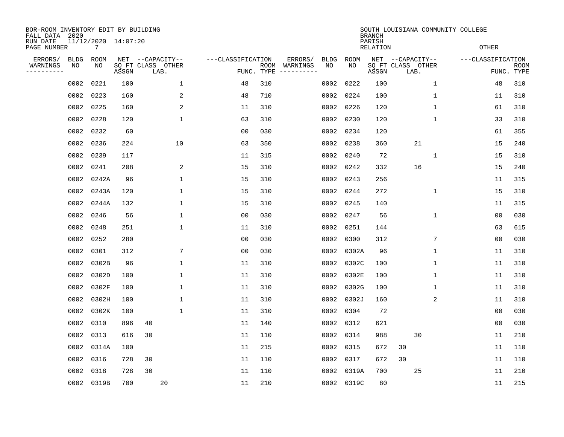| BOR-ROOM INVENTORY EDIT BY BUILDING<br>FALL DATA 2020 |                   |                   |                     |                                       |                   |            |                     |                   |                   | <b>BRANCH</b>      | SOUTH LOUISIANA COMMUNITY COLLEGE |                   |             |
|-------------------------------------------------------|-------------------|-------------------|---------------------|---------------------------------------|-------------------|------------|---------------------|-------------------|-------------------|--------------------|-----------------------------------|-------------------|-------------|
| RUN DATE<br>PAGE NUMBER                               |                   | 7                 | 11/12/2020 14:07:20 |                                       |                   |            |                     |                   |                   | PARISH<br>RELATION |                                   | <b>OTHER</b>      |             |
| ERRORS/                                               | <b>BLDG</b><br>NO | <b>ROOM</b><br>NO |                     | NET --CAPACITY--<br>SQ FT CLASS OTHER | ---CLASSIFICATION | ROOM       | ERRORS/<br>WARNINGS | <b>BLDG</b><br>NO | <b>ROOM</b><br>NO |                    | NET --CAPACITY--                  | ---CLASSIFICATION | <b>ROOM</b> |
| WARNINGS<br>- - - - - - - - - -                       |                   |                   | ASSGN               | LAB.                                  |                   | FUNC. TYPE | -----------         |                   |                   | ASSGN              | SQ FT CLASS OTHER<br>LAB.         |                   | FUNC. TYPE  |
|                                                       | 0002              | 0221              | 100                 | $\mathbf{1}$                          | 48                | 310        |                     | 0002              | 0222              | 100                | $\mathbf{1}$                      | 48                | 310         |
|                                                       | 0002 0223         |                   | 160                 | 2                                     | 48                | 710        |                     | 0002              | 0224              | 100                | 1                                 | 11                | 310         |
|                                                       | 0002              | 0225              | 160                 | 2                                     | 11                | 310        |                     | 0002              | 0226              | 120                | $\mathbf 1$                       | 61                | 310         |
|                                                       | 0002 0228         |                   | 120                 | $\mathbf 1$                           | 63                | 310        |                     | 0002              | 0230              | 120                | $\mathbf 1$                       | 33                | 310         |
|                                                       | 0002              | 0232              | 60                  |                                       | 0 <sub>0</sub>    | 030        |                     | 0002              | 0234              | 120                |                                   | 61                | 355         |
|                                                       | 0002 0236         |                   | 224                 | 10                                    | 63                | 350        |                     | 0002              | 0238              | 360                | 21                                | 15                | 240         |
|                                                       | 0002              | 0239              | 117                 |                                       | 11                | 315        |                     | 0002              | 0240              | 72                 | 1                                 | 15                | 310         |
|                                                       | 0002 0241         |                   | 208                 | 2                                     | 15                | 310        |                     | 0002              | 0242              | 332                | 16                                | 15                | 240         |
|                                                       | 0002              | 0242A             | 96                  | 1                                     | 15                | 310        |                     | 0002              | 0243              | 256                |                                   | 11                | 315         |
|                                                       | 0002              | 0243A             | 120                 | $\mathbf{1}$                          | 15                | 310        |                     | 0002              | 0244              | 272                | 1                                 | 15                | 310         |
|                                                       | 0002              | 0244A             | 132                 | 1                                     | 15                | 310        |                     | 0002              | 0245              | 140                |                                   | 11                | 315         |
|                                                       | 0002              | 0246              | 56                  | $\mathbf 1$                           | 00                | 030        |                     | 0002              | 0247              | 56                 | 1                                 | 00                | 030         |
|                                                       | 0002              | 0248              | 251                 | $\mathbf 1$                           | 11                | 310        |                     | 0002              | 0251              | 144                |                                   | 63                | 615         |
|                                                       | 0002              | 0252              | 280                 |                                       | 00                | 030        |                     | 0002              | 0300              | 312                | 7                                 | 0 <sub>0</sub>    | 030         |
|                                                       | 0002              | 0301              | 312                 | $7\phantom{.0}$                       | 0 <sub>0</sub>    | 030        |                     | 0002              | 0302A             | 96                 | 1                                 | 11                | 310         |
|                                                       | 0002              | 0302B             | 96                  | $\mathbf 1$                           | 11                | 310        |                     | 0002              | 0302C             | 100                | 1                                 | 11                | 310         |
|                                                       | 0002              | 0302D             | 100                 | 1                                     | 11                | 310        |                     | 0002              | 0302E             | 100                | 1                                 | 11                | 310         |
|                                                       | 0002              | 0302F             | 100                 | $\mathbf 1$                           | 11                | 310        |                     | 0002              | 0302G             | 100                | 1                                 | 11                | 310         |
|                                                       | 0002              | 0302H             | 100                 | 1                                     | 11                | 310        |                     | 0002              | 0302J             | 160                | 2                                 | 11                | 310         |
|                                                       | 0002              | 0302K             | 100                 | $\mathbf 1$                           | 11                | 310        |                     | 0002              | 0304              | 72                 |                                   | 0 <sub>0</sub>    | 030         |
|                                                       | 0002              | 0310              | 896                 | 40                                    | 11                | 140        |                     | 0002              | 0312              | 621                |                                   | 0 <sub>0</sub>    | 030         |
|                                                       | 0002              | 0313              | 616                 | 30                                    | 11                | 110        |                     | 0002              | 0314              | 988                | 30                                | 11                | 210         |
|                                                       | 0002              | 0314A             | 100                 |                                       | 11                | 215        |                     | 0002              | 0315              | 672                | 30                                | 11                | 110         |
|                                                       | 0002              | 0316              | 728                 | 30                                    | 11                | 110        |                     | 0002              | 0317              | 672                | 30                                | 11                | 110         |
|                                                       | 0002              | 0318              | 728                 | 30                                    | 11                | 110        |                     | 0002              | 0319A             | 700                | 25                                | 11                | 210         |
|                                                       |                   | 0002 0319B        | 700                 | 20                                    | 11                | 210        |                     |                   | 0002 0319C        | 80                 |                                   | 11                | 215         |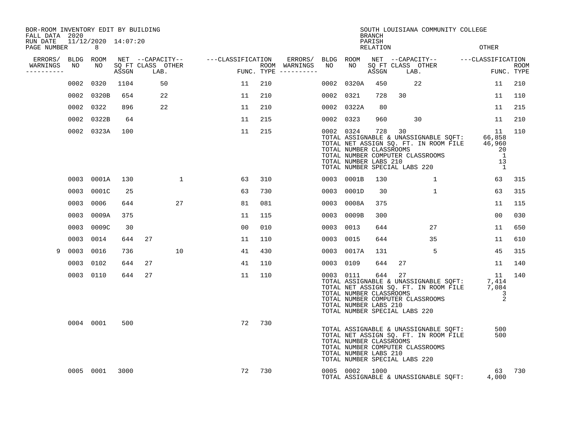| BOR-ROOM INVENTORY EDIT BY BUILDING<br>FALL DATA 2020 |           |                                       |       |                           |              |                                     |     |                                      |           |                                                                                                | <b>BRANCH</b>             |        | SOUTH LOUISIANA COMMUNITY COLLEGE                                                                                                       |                |                                                    |                           |
|-------------------------------------------------------|-----------|---------------------------------------|-------|---------------------------|--------------|-------------------------------------|-----|--------------------------------------|-----------|------------------------------------------------------------------------------------------------|---------------------------|--------|-----------------------------------------------------------------------------------------------------------------------------------------|----------------|----------------------------------------------------|---------------------------|
| RUN DATE<br>PAGE NUMBER                               |           | 11/12/2020 14:07:20<br>8 <sup>8</sup> |       |                           |              |                                     |     |                                      |           |                                                                                                | PARISH<br><b>RELATION</b> |        |                                                                                                                                         |                | <b>OTHER</b>                                       |                           |
| ERRORS/                                               | BLDG ROOM |                                       |       |                           |              | NET --CAPACITY-- ----CLASSIFICATION |     | ERRORS/ BLDG ROOM                    |           |                                                                                                |                           |        | NET --CAPACITY-- ---CLASSIFICATION                                                                                                      |                |                                                    |                           |
| WARNINGS<br>----------                                | NO        | NO                                    | ASSGN | SQ FT CLASS OTHER<br>LAB. |              |                                     |     | ROOM WARNINGS<br>FUNC. TYPE $------$ | NO        | NO                                                                                             | ASSGN                     | LAB.   | SQ FT CLASS OTHER                                                                                                                       | $\mathbb{R}^n$ |                                                    | <b>ROOM</b><br>FUNC. TYPE |
|                                                       |           | 0002 0320                             | 1104  |                           | 50           | 11                                  | 210 |                                      |           | 0002 0320A                                                                                     | 450                       |        | 22                                                                                                                                      |                | 11                                                 | 210                       |
|                                                       |           | 0002 0320B                            | 654   |                           | 22           | 11                                  | 210 |                                      |           | 0002 0321                                                                                      | 728                       | 30     |                                                                                                                                         |                | 11                                                 | 110                       |
|                                                       |           | 0002 0322                             | 896   |                           | 22           | 11                                  | 210 |                                      |           | 0002 0322A                                                                                     | 80                        |        |                                                                                                                                         |                | 11                                                 | 215                       |
|                                                       |           | 0002 0322B                            | 64    |                           |              | 11                                  | 215 |                                      |           | 0002 0323                                                                                      | 960                       |        | 30                                                                                                                                      |                | 11                                                 | 210                       |
|                                                       |           | 0002 0323A                            | 100   |                           |              | 11                                  | 215 |                                      |           | 0002 0324<br>TOTAL NUMBER CLASSROOMS<br>TOTAL NUMBER LABS 210<br>TOTAL NUMBER SPECIAL LABS 220 |                           | 728 30 | 11<br>TOTAL ASSIGNABLE & UNASSIGNABLE SQFT: 66,858<br>TOTAL NET ASSIGN SQ. FT. IN ROOM FILE 46,960<br>TOTAL NUMBER COMPUTER CLASSROOMS  |                | 11<br>20<br>$\overline{1}$<br>13<br>$\overline{1}$ | 110                       |
|                                                       |           | 0003 0001A                            | 130   |                           | $\mathbf{1}$ | 63                                  | 310 |                                      |           | 0003 0001B                                                                                     | 130                       |        | $\mathbf{1}$                                                                                                                            |                | 63                                                 | 315                       |
|                                                       |           | 0003 0001C                            | 25    |                           |              | 63                                  | 730 |                                      |           | 0003 0001D                                                                                     | 30                        |        | $\mathbf{1}$                                                                                                                            |                | 63                                                 | 315                       |
|                                                       | 0003      | 0006                                  | 644   |                           | 27           | 81                                  | 081 |                                      |           | 0003 0008A                                                                                     | 375                       |        |                                                                                                                                         |                | 11                                                 | 115                       |
|                                                       | 0003      | 0009A                                 | 375   |                           |              | 11                                  | 115 |                                      |           | 0003 0009B                                                                                     | 300                       |        |                                                                                                                                         |                | 0 <sub>0</sub>                                     | 030                       |
|                                                       | 0003      | 0009C                                 | 30    |                           |              | 0 <sub>0</sub>                      | 010 |                                      |           | 0003 0013                                                                                      | 644                       |        | 27                                                                                                                                      |                | 11                                                 | 650                       |
|                                                       |           | 0003 0014                             | 644   | 27                        |              | 11                                  | 110 |                                      | 0003 0015 |                                                                                                | 644                       |        | 35                                                                                                                                      |                | 11                                                 | 610                       |
| 9                                                     | 0003      | 0016                                  | 736   |                           | 10           | 41                                  | 430 |                                      |           | 0003 0017A                                                                                     | 131                       |        | 5                                                                                                                                       |                | 45                                                 | 315                       |
|                                                       |           | 0003 0102                             | 644   | 27                        |              | 41                                  | 110 |                                      |           | 0003 0109                                                                                      | 644                       | 27     |                                                                                                                                         |                | 11                                                 | 140                       |
|                                                       |           | 0003 0110                             | 644   | 27                        |              | 11                                  | 110 |                                      |           | 0003 0111<br>TOTAL NUMBER CLASSROOMS<br>TOTAL NUMBER LABS 210<br>TOTAL NUMBER SPECIAL LABS 220 | 644                       | 27     | 11 11<br>TOTAL ASSIGNABLE & UNASSIGNABLE SQFT: 7,414<br>TOTAL NET ASSIGN SQ. FT. IN ROOM FILE 7,084<br>TOTAL NUMBER COMPUTER CLASSROOMS |                | 11<br>3<br>2                                       | 140                       |
|                                                       |           | 0004 0001                             | 500   |                           |              | 72                                  | 730 |                                      |           | TOTAL NUMBER CLASSROOMS<br>TOTAL NUMBER LABS 210<br>TOTAL NUMBER SPECIAL LABS 220              |                           |        | TOTAL ASSIGNABLE & UNASSIGNABLE SQFT:<br>TOTAL NET ASSIGN SQ. FT. IN ROOM FILE<br>TOTAL NUMBER COMPUTER CLASSROOMS                      |                | 500<br>500                                         |                           |
|                                                       |           | 0005 0001                             | 3000  |                           |              | 72                                  | 730 |                                      |           | 0005 0002 1000                                                                                 |                           |        | TOTAL ASSIGNABLE & UNASSIGNABLE SQFT:                                                                                                   |                | 63<br>4,000                                        | 730                       |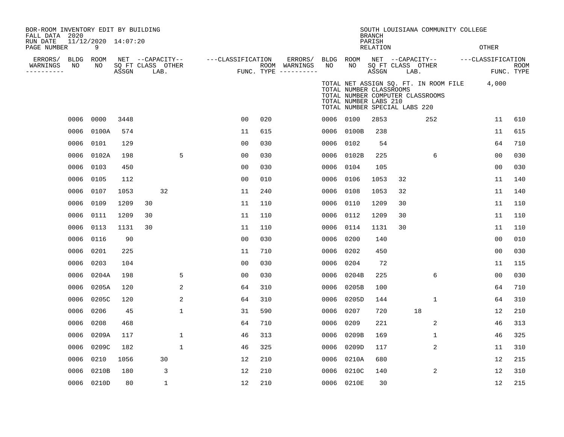| BOR-ROOM INVENTORY EDIT BY BUILDING<br>FALL DATA 2020 |                   |                          |       |                                       |             |              |                   |                |     |                          |                 |                                                                                   | <b>BRANCH</b>             |      | SOUTH LOUISIANA COMMUNITY COLLEGE                                         |                   |             |
|-------------------------------------------------------|-------------------|--------------------------|-------|---------------------------------------|-------------|--------------|-------------------|----------------|-----|--------------------------|-----------------|-----------------------------------------------------------------------------------|---------------------------|------|---------------------------------------------------------------------------|-------------------|-------------|
| RUN DATE<br>PAGE NUMBER                               |                   | 11/12/2020 14:07:20<br>9 |       |                                       |             |              |                   |                |     |                          |                 |                                                                                   | PARISH<br><b>RELATION</b> |      |                                                                           | <b>OTHER</b>      |             |
| ERRORS/<br>WARNINGS                                   | <b>BLDG</b><br>NO | ROOM<br>NO               |       | NET --CAPACITY--<br>SQ FT CLASS OTHER |             |              | ---CLASSIFICATION |                |     | ERRORS/<br>ROOM WARNINGS | BLDG ROOM<br>NO | NO                                                                                |                           |      | NET --CAPACITY--<br>SQ FT CLASS OTHER                                     | ---CLASSIFICATION | <b>ROOM</b> |
| ----------                                            |                   |                          | ASSGN |                                       | LAB.        |              |                   |                |     | FUNC. TYPE $------$      |                 |                                                                                   | ASSGN                     | LAB. |                                                                           |                   | FUNC. TYPE  |
|                                                       |                   |                          |       |                                       |             |              |                   |                |     |                          |                 | TOTAL NUMBER CLASSROOMS<br>TOTAL NUMBER LABS 210<br>TOTAL NUMBER SPECIAL LABS 220 |                           |      | TOTAL NET ASSIGN SQ. FT. IN ROOM FILE<br>TOTAL NUMBER COMPUTER CLASSROOMS | 4,000             |             |
|                                                       | 0006              | 0000                     | 3448  |                                       |             |              |                   | 0 <sub>0</sub> | 020 |                          | 0006 0100       |                                                                                   | 2853                      |      | 252                                                                       | 11                | 610         |
|                                                       | 0006              | 0100A                    | 574   |                                       |             |              |                   | 11             | 615 |                          |                 | 0006 0100B                                                                        | 238                       |      |                                                                           | 11                | 615         |
|                                                       | 0006              | 0101                     | 129   |                                       |             |              |                   | 0 <sub>0</sub> | 030 |                          | 0006 0102       |                                                                                   | 54                        |      |                                                                           | 64                | 710         |
|                                                       | 0006              | 0102A                    | 198   |                                       |             | 5            |                   | 00             | 030 |                          |                 | 0006 0102B                                                                        | 225                       |      | 6                                                                         | 0 <sub>0</sub>    | 030         |
|                                                       | 0006              | 0103                     | 450   |                                       |             |              |                   | 0 <sub>0</sub> | 030 |                          | 0006            | 0104                                                                              | 105                       |      |                                                                           | 0 <sub>0</sub>    | 030         |
|                                                       | 0006              | 0105                     | 112   |                                       |             |              |                   | 0 <sub>0</sub> | 010 |                          | 0006            | 0106                                                                              | 1053                      | 32   |                                                                           | 11                | 140         |
|                                                       | 0006              | 0107                     | 1053  |                                       | 32          |              |                   | 11             | 240 |                          | 0006            | 0108                                                                              | 1053                      | 32   |                                                                           | 11                | 140         |
|                                                       | 0006              | 0109                     | 1209  | 30                                    |             |              |                   | 11             | 110 |                          | 0006            | 0110                                                                              | 1209                      | 30   |                                                                           | 11                | 110         |
|                                                       | 0006              | 0111                     | 1209  | 30                                    |             |              |                   | 11             | 110 |                          | 0006            | 0112                                                                              | 1209                      | 30   |                                                                           | 11                | 110         |
|                                                       | 0006              | 0113                     | 1131  | 30                                    |             |              |                   | 11             | 110 |                          | 0006            | 0114                                                                              | 1131                      | 30   |                                                                           | 11                | 110         |
|                                                       | 0006              | 0116                     | 90    |                                       |             |              |                   | 0 <sub>0</sub> | 030 |                          | 0006            | 0200                                                                              | 140                       |      |                                                                           | 0 <sub>0</sub>    | 010         |
|                                                       | 0006              | 0201                     | 225   |                                       |             |              |                   | 11             | 710 |                          | 0006            | 0202                                                                              | 450                       |      |                                                                           | 0 <sub>0</sub>    | 030         |
|                                                       | 0006              | 0203                     | 104   |                                       |             |              |                   | 00             | 030 |                          | 0006            | 0204                                                                              | 72                        |      |                                                                           | 11                | 115         |
|                                                       | 0006              | 0204A                    | 198   |                                       |             | 5            |                   | 00             | 030 |                          | 0006            | 0204B                                                                             | 225                       |      | 6                                                                         | 00                | 030         |
|                                                       | 0006              | 0205A                    | 120   |                                       |             | 2            |                   | 64             | 310 |                          | 0006            | 0205B                                                                             | 100                       |      |                                                                           | 64                | 710         |
|                                                       | 0006              | 0205C                    | 120   |                                       |             | 2            |                   | 64             | 310 |                          | 0006            | 0205D                                                                             | 144                       |      | $\mathbf 1$                                                               | 64                | 310         |
|                                                       | 0006              | 0206                     | 45    |                                       |             | $\mathbf{1}$ |                   | 31             | 590 |                          | 0006            | 0207                                                                              | 720                       |      | 18                                                                        | 12                | 210         |
|                                                       | 0006              | 0208                     | 468   |                                       |             |              |                   | 64             | 710 |                          | 0006            | 0209                                                                              | 221                       |      | 2                                                                         | 46                | 313         |
|                                                       | 0006              | 0209A                    | 117   |                                       |             | $\mathbf 1$  |                   | 46             | 313 |                          | 0006            | 0209B                                                                             | 169                       |      | $\mathbf 1$                                                               | 46                | 325         |
|                                                       | 0006              | 0209C                    | 182   |                                       |             | $\mathbf 1$  |                   | 46             | 325 |                          | 0006            | 0209D                                                                             | 117                       |      | 2                                                                         | 11                | 310         |
|                                                       | 0006              | 0210                     | 1056  |                                       | 30          |              |                   | 12             | 210 |                          | 0006            | 0210A                                                                             | 680                       |      |                                                                           | 12                | 215         |
|                                                       | 0006              | 0210B                    | 180   |                                       | 3           |              |                   | 12             | 210 |                          | 0006            | 0210C                                                                             | 140                       |      | 2                                                                         | 12                | 310         |
|                                                       |                   | 0006 0210D               | 80    |                                       | $\mathbf 1$ |              |                   | 12             | 210 |                          |                 | 0006 0210E                                                                        | 30                        |      |                                                                           | 12                | 215         |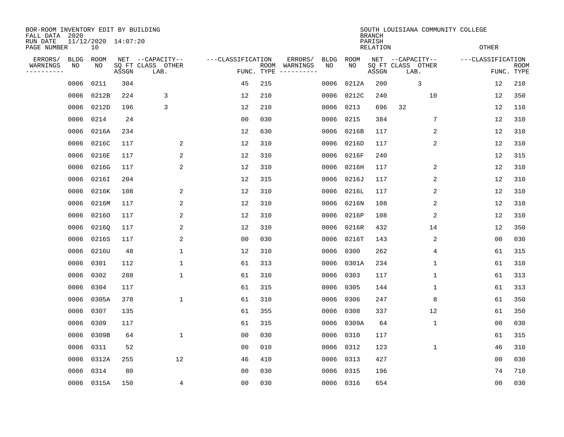| BOR-ROOM INVENTORY EDIT BY BUILDING<br>FALL DATA 2020 |             |                           |       |                           |                   |                    |                                                                                                                                                                                                                                                                                                                                                                                                                                                                     |             |           | <b>BRANCH</b>      | SOUTH LOUISIANA COMMUNITY COLLEGE |                   |                           |
|-------------------------------------------------------|-------------|---------------------------|-------|---------------------------|-------------------|--------------------|---------------------------------------------------------------------------------------------------------------------------------------------------------------------------------------------------------------------------------------------------------------------------------------------------------------------------------------------------------------------------------------------------------------------------------------------------------------------|-------------|-----------|--------------------|-----------------------------------|-------------------|---------------------------|
| RUN DATE<br>PAGE NUMBER                               |             | 11/12/2020 14:07:20<br>10 |       |                           |                   |                    |                                                                                                                                                                                                                                                                                                                                                                                                                                                                     |             |           | PARISH<br>RELATION |                                   | <b>OTHER</b>      |                           |
| ERRORS/                                               | <b>BLDG</b> | ROOM                      |       | NET --CAPACITY--          | ---CLASSIFICATION |                    | ERRORS/                                                                                                                                                                                                                                                                                                                                                                                                                                                             | <b>BLDG</b> | ROOM      |                    | NET --CAPACITY--                  | ---CLASSIFICATION |                           |
| WARNINGS<br>---------                                 | NO          | NO                        | ASSGN | SQ FT CLASS OTHER<br>LAB. |                   | ROOM<br>FUNC. TYPE | WARNINGS<br>$\begin{tabular}{ccccccccc} \multicolumn{2}{c }{\textbf{1} } & \multicolumn{2}{c }{\textbf{2} } & \multicolumn{2}{c }{\textbf{3} } & \multicolumn{2}{c }{\textbf{4} } & \multicolumn{2}{c }{\textbf{5} } & \multicolumn{2}{c }{\textbf{6} } & \multicolumn{2}{c }{\textbf{7} } & \multicolumn{2}{c }{\textbf{8} } & \multicolumn{2}{c }{\textbf{9} } & \multicolumn{2}{c }{\textbf{1} } & \multicolumn{2}{c }{\textbf{1} } & \multicolumn{2}{c }{\text$ | NO          | NO        | ASSGN              | SQ FT CLASS OTHER<br>LAB.         |                   | <b>ROOM</b><br>FUNC. TYPE |
|                                                       | 0006        | 0211                      | 304   |                           | 45                | 215                |                                                                                                                                                                                                                                                                                                                                                                                                                                                                     | 0006        | 0212A     | 200                | 3                                 | 12                | 210                       |
|                                                       | 0006        | 0212B                     | 224   | 3                         | 12                | 210                |                                                                                                                                                                                                                                                                                                                                                                                                                                                                     | 0006        | 0212C     | 240                | 10                                | 12                | 350                       |
|                                                       | 0006        | 0212D                     | 196   | 3                         | 12                | 210                |                                                                                                                                                                                                                                                                                                                                                                                                                                                                     | 0006        | 0213      | 696                | 32                                | 12                | 110                       |
|                                                       | 0006        | 0214                      | 24    |                           | 0 <sub>0</sub>    | 030                |                                                                                                                                                                                                                                                                                                                                                                                                                                                                     | 0006        | 0215      | 384                | 7                                 | 12                | 310                       |
|                                                       | 0006        | 0216A                     | 234   |                           | 12                | 630                |                                                                                                                                                                                                                                                                                                                                                                                                                                                                     | 0006        | 0216B     | 117                | 2                                 | 12                | 310                       |
|                                                       | 0006        | 0216C                     | 117   | 2                         | 12                | 310                |                                                                                                                                                                                                                                                                                                                                                                                                                                                                     | 0006        | 0216D     | 117                | 2                                 | 12                | 310                       |
|                                                       | 0006        | 0216E                     | 117   | 2                         | 12                | 310                |                                                                                                                                                                                                                                                                                                                                                                                                                                                                     | 0006        | 0216F     | 240                |                                   | 12                | 315                       |
|                                                       | 0006        | 0216G                     | 117   | 2                         | 12                | 310                |                                                                                                                                                                                                                                                                                                                                                                                                                                                                     | 0006        | 0216H     | 117                | 2                                 | 12                | 310                       |
|                                                       | 0006        | 0216I                     | 204   |                           | 12                | 315                |                                                                                                                                                                                                                                                                                                                                                                                                                                                                     | 0006        | 0216J     | 117                | 2                                 | 12                | 310                       |
|                                                       | 0006        | 0216K                     | 108   | 2                         | 12                | 310                |                                                                                                                                                                                                                                                                                                                                                                                                                                                                     | 0006        | 0216L     | 117                | 2                                 | 12                | 310                       |
|                                                       | 0006        | 0216M                     | 117   | 2                         | 12                | 310                |                                                                                                                                                                                                                                                                                                                                                                                                                                                                     | 0006        | 0216N     | 108                | 2                                 | 12                | 310                       |
|                                                       | 0006        | 02160                     | 117   | 2                         | 12                | 310                |                                                                                                                                                                                                                                                                                                                                                                                                                                                                     | 0006        | 0216P     | 108                | 2                                 | 12                | 310                       |
|                                                       | 0006        | 02160                     | 117   | 2                         | 12                | 310                |                                                                                                                                                                                                                                                                                                                                                                                                                                                                     | 0006        | 0216R     | 432                | 14                                | 12                | 350                       |
|                                                       | 0006        | 0216S                     | 117   | 2                         | 0 <sub>0</sub>    | 030                |                                                                                                                                                                                                                                                                                                                                                                                                                                                                     | 0006        | 0216T     | 143                | 2                                 | 00                | 030                       |
|                                                       | 0006        | 0216U                     | 48    | 1                         | 12                | 310                |                                                                                                                                                                                                                                                                                                                                                                                                                                                                     | 0006        | 0300      | 262                | 4                                 | 61                | 315                       |
|                                                       | 0006        | 0301                      | 112   | 1                         | 61                | 313                |                                                                                                                                                                                                                                                                                                                                                                                                                                                                     | 0006        | 0301A     | 234                | 1                                 | 61                | 310                       |
|                                                       | 0006        | 0302                      | 288   | 1                         | 61                | 310                |                                                                                                                                                                                                                                                                                                                                                                                                                                                                     | 0006        | 0303      | 117                | 1                                 | 61                | 313                       |
|                                                       | 0006        | 0304                      | 117   |                           | 61                | 315                |                                                                                                                                                                                                                                                                                                                                                                                                                                                                     | 0006        | 0305      | 144                | 1                                 | 61                | 313                       |
|                                                       | 0006        | 0305A                     | 378   | 1                         | 61                | 310                |                                                                                                                                                                                                                                                                                                                                                                                                                                                                     | 0006        | 0306      | 247                | 8                                 | 61                | 350                       |
|                                                       | 0006        | 0307                      | 135   |                           | 61                | 355                |                                                                                                                                                                                                                                                                                                                                                                                                                                                                     | 0006        | 0308      | 337                | 12                                | 61                | 350                       |
|                                                       | 0006        | 0309                      | 117   |                           | 61                | 315                |                                                                                                                                                                                                                                                                                                                                                                                                                                                                     | 0006        | 0309A     | 64                 | 1                                 | 0 <sub>0</sub>    | 030                       |
|                                                       | 0006        | 0309B                     | 64    | $\mathbf{1}$              | 0 <sub>0</sub>    | 030                |                                                                                                                                                                                                                                                                                                                                                                                                                                                                     | 0006        | 0310      | 117                |                                   | 61                | 315                       |
|                                                       | 0006        | 0311                      | 52    |                           | 0 <sub>0</sub>    | 010                |                                                                                                                                                                                                                                                                                                                                                                                                                                                                     | 0006        | 0312      | 123                | 1                                 | 46                | 310                       |
|                                                       | 0006        | 0312A                     | 255   | 12                        | 46                | 410                |                                                                                                                                                                                                                                                                                                                                                                                                                                                                     | 0006        | 0313      | 427                |                                   | 0 <sub>0</sub>    | 030                       |
|                                                       | 0006        | 0314                      | 80    |                           | 00                | 030                |                                                                                                                                                                                                                                                                                                                                                                                                                                                                     | 0006        | 0315      | 196                |                                   | 74                | 710                       |
|                                                       |             | 0006 0315A                | 150   | 4                         | 0 <sub>0</sub>    | 030                |                                                                                                                                                                                                                                                                                                                                                                                                                                                                     |             | 0006 0316 | 654                |                                   | 00                | 030                       |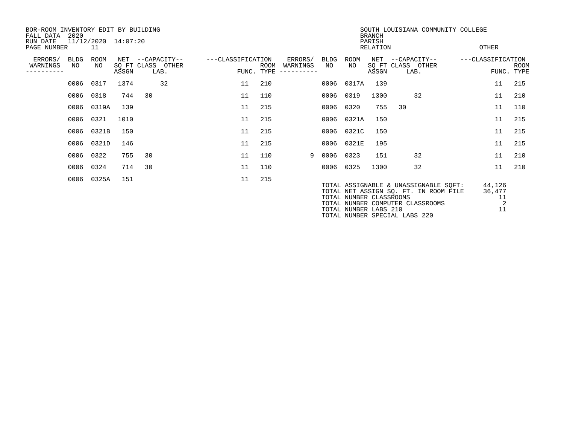| BOR-ROOM INVENTORY EDIT BY BUILDING<br>FALL DATA<br>RUN DATE | 2020       |                   | 11/12/2020 14:07:20 |                                               |                   |                           |                                  |             |                         | <b>BRANCH</b><br>PARISH | SOUTH LOUISIANA COMMUNITY COLLEGE                                                                                  |                             |                           |
|--------------------------------------------------------------|------------|-------------------|---------------------|-----------------------------------------------|-------------------|---------------------------|----------------------------------|-------------|-------------------------|-------------------------|--------------------------------------------------------------------------------------------------------------------|-----------------------------|---------------------------|
| PAGE NUMBER                                                  |            | -11               |                     |                                               |                   |                           |                                  |             |                         | RELATION                |                                                                                                                    | OTHER                       |                           |
| ERRORS/<br>WARNINGS                                          | BLDG<br>NO | <b>ROOM</b><br>NO | ASSGN               | NET --CAPACITY--<br>SQ FT CLASS OTHER<br>LAB. | ---CLASSIFICATION | <b>ROOM</b><br>FUNC. TYPE | ERRORS/<br>WARNINGS<br>--------- | BLDG<br>NO. | ROOM<br>NO.             | NET<br>ASSGN            | --CAPACITY--<br>SQ FT CLASS OTHER<br>LAB.                                                                          | ---CLASSIFICATION           | <b>ROOM</b><br>FUNC. TYPE |
|                                                              |            | 0006 0317         | 1374                | 32                                            | 11                | 210                       |                                  |             | 0006 0317A              | 139                     |                                                                                                                    | 11                          | 215                       |
|                                                              |            | 0006 0318         | 744                 | 30                                            | 11                | 110                       |                                  |             | 0006 0319               | 1300                    | 32                                                                                                                 | 11                          | 210                       |
|                                                              |            | 0006 0319A        | 139                 |                                               | 11                | 215                       |                                  |             | 0006 0320               | 755                     | 30                                                                                                                 | 11                          | 110                       |
|                                                              |            | 0006 0321         | 1010                |                                               | 11                | 215                       |                                  |             | 0006 0321A              | 150                     |                                                                                                                    | 11                          | 215                       |
|                                                              |            | 0006 0321B        | 150                 |                                               | 11                | 215                       |                                  |             | 0006 0321C              | 150                     |                                                                                                                    | 11                          | 215                       |
|                                                              |            | 0006 0321D        | 146                 |                                               | 11                | 215                       |                                  |             | 0006 0321E              | 195                     |                                                                                                                    | 11                          | 215                       |
|                                                              | 0006       | 0322              | 755                 | 30                                            | 11                | 110                       | 9                                | 0006        | 0323                    | 151                     | 32                                                                                                                 | 11                          | 210                       |
|                                                              |            | 0006 0324         | 714                 | 30                                            | 11                | 110                       |                                  |             | 0006 0325               | 1300                    | 32                                                                                                                 | 11                          | 210                       |
|                                                              | 0006       | 0325A             | 151                 |                                               | 11                | 215                       |                                  |             | TOTAL NUMBER CLASSROOMS |                         | TOTAL ASSIGNABLE & UNASSIGNABLE SQFT:<br>TOTAL NET ASSIGN SQ. FT. IN ROOM FILE<br>TOTAL NUMBER COMPUTER CLASSROOMS | 44,126<br>36,477<br>11<br>2 |                           |

TOTAL NUMBER LABS 210 11

TOTAL NUMBER SPECIAL LABS 220